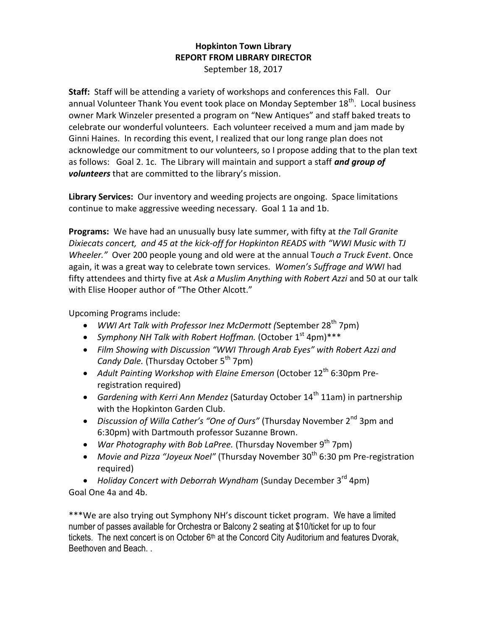## **Hopkinton Town Library REPORT FROM LIBRARY DIRECTOR** September 18, 2017

**Staff:** Staff will be attending a variety of workshops and conferences this Fall. Our annual Volunteer Thank You event took place on Monday September 18<sup>th</sup>. Local business owner Mark Winzeler presented a program on "New Antiques" and staff baked treats to celebrate our wonderful volunteers. Each volunteer received a mum and jam made by Ginni Haines. In recording this event, I realized that our long range plan does not acknowledge our commitment to our volunteers, so I propose adding that to the plan text as follows: Goal 2. 1c. The Library will maintain and support a staff *and group of volunteers* that are committed to the library's mission.

**Library Services:** Our inventory and weeding projects are ongoing. Space limitations continue to make aggressive weeding necessary. Goal 1 1a and 1b.

**Programs:** We have had an unusually busy late summer, with fifty at *the Tall Granite Dixiecats concert, and 45 at the kick-off for Hopkinton READS with "WWI Music with TJ Wheeler."* Over 200 people young and old were at the annual T*ouch a Truck Event*. Once again, it was a great way to celebrate town services. *Women's Suffrage and WWI* had fifty attendees and thirty five at *Ask a Muslim Anything with Robert Azzi* and 50 at our talk with Elise Hooper author of "The Other Alcott."

Upcoming Programs include:

- WWI Art Talk with Professor Inez McDermott (September 28<sup>th</sup> 7pm)
- Symphony NH Talk with Robert Hoffman. (October 1<sup>st</sup> 4pm)\*\*\*
- *Film Showing with Discussion "WWI Through Arab Eyes" with Robert Azzi and Candy Dale.* (Thursday October 5<sup>th</sup> 7pm)
- Adult Painting Workshop with Elaine Emerson (October 12<sup>th</sup> 6:30pm Preregistration required)
- *Gardening with Kerri Ann Mendez* (Saturday October 14<sup>th</sup> 11am) in partnership with the Hopkinton Garden Club.
- Discussion of Willa Cather's "One of Ours" (Thursday November 2<sup>nd</sup> 3pm and 6:30pm) with Dartmouth professor Suzanne Brown.
- War Photography with Bob LaPree. (Thursday November 9<sup>th</sup> 7pm)
- Movie and Pizza "Joyeux Noel" (Thursday November 30<sup>th</sup> 6:30 pm Pre-registration required)

• Holiday Concert with Deborrah Wyndham (Sunday December 3<sup>rd</sup> 4pm) Goal One 4a and 4b.

\*\*\*We are also trying out Symphony NH's discount ticket program. We have a limited number of passes available for Orchestra or Balcony 2 seating at \$10/ticket for up to four tickets. The next concert is on October  $6<sup>th</sup>$  at the Concord City Auditorium and features Dvorak, Beethoven and Beach. .